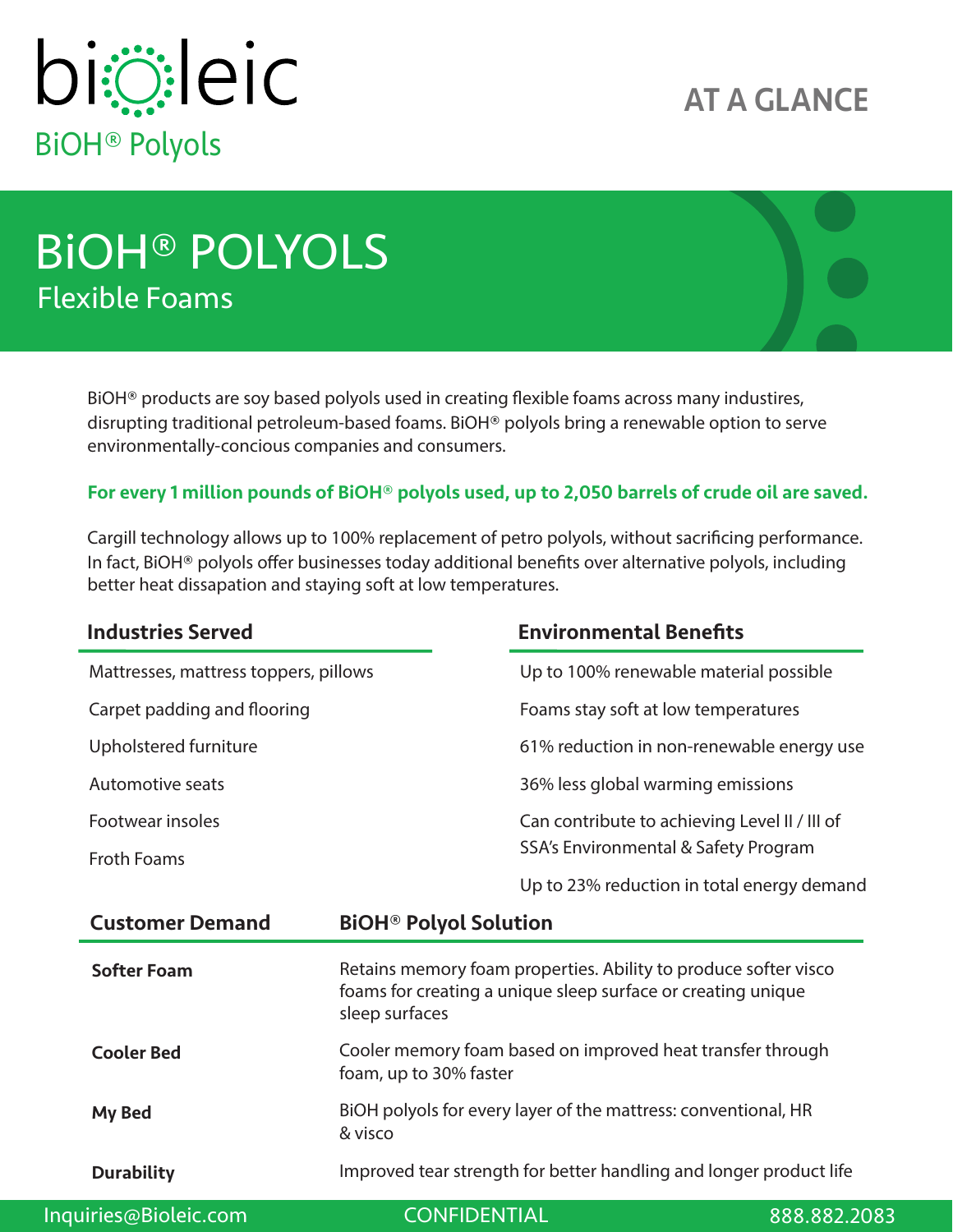

## AT A GLANCE

# BiOH® POLYOLS Flexible Foams

BiOH<sup>®</sup> products are soy based polyols used in creating flexible foams across many industires, disrupting traditional petroleum-based foams. BiOH® polyols bring a renewable option to serve environmentally-concious companies and consumers.

### For every 1 million pounds of BiOH® polyols used, up to 2,050 barrels of crude oil are saved.

Cargill technology allows up to 100% replacement of petro polyols, without sacrificing performance. In fact, BiOH® polyols offer businesses today additional benefits over alternative polyols, including better heat dissapation and staying soft at low temperatures.

| <b>Industries Served</b>              |                                                                                                                                                   | <b>Environmental Benefits</b>                 |
|---------------------------------------|---------------------------------------------------------------------------------------------------------------------------------------------------|-----------------------------------------------|
| Mattresses, mattress toppers, pillows |                                                                                                                                                   | Up to 100% renewable material possible        |
| Carpet padding and flooring           |                                                                                                                                                   | Foams stay soft at low temperatures           |
| Upholstered furniture                 |                                                                                                                                                   | 61% reduction in non-renewable energy use     |
| Automotive seats                      |                                                                                                                                                   | 36% less global warming emissions             |
| Footwear insoles                      |                                                                                                                                                   | Can contribute to achieving Level II / III of |
| <b>Froth Foams</b>                    |                                                                                                                                                   | SSA's Environmental & Safety Program          |
|                                       |                                                                                                                                                   | Up to 23% reduction in total energy demand    |
| <b>Customer Demand</b>                | <b>BiOH<sup>®</sup> Polyol Solution</b>                                                                                                           |                                               |
| <b>Softer Foam</b>                    | Retains memory foam properties. Ability to produce softer visco<br>foams for creating a unique sleep surface or creating unique<br>sleep surfaces |                                               |
| <b>Cooler Bed</b>                     | Cooler memory foam based on improved heat transfer through<br>foam, up to 30% faster                                                              |                                               |
| My Bed                                | BiOH polyols for every layer of the mattress: conventional, HR<br>& visco                                                                         |                                               |
| <b>Durability</b>                     | Improved tear strength for better handling and longer product life                                                                                |                                               |